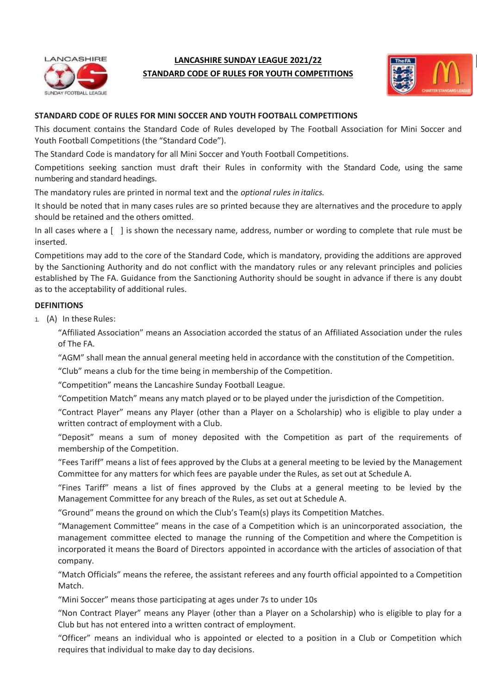

# **LANCASHIRE SUNDAY LEAGUE 2021/22 STANDARD CODE OF RULES FOR YOUTH COMPETITIONS**



# **STANDARD CODE OF RULES FOR MINI SOCCER AND YOUTH FOOTBALL COMPETITIONS**

This document contains the Standard Code of Rules developed by The Football Association for Mini Soccer and Youth Football Competitions (the "Standard Code").

The Standard Code is mandatory for all Mini Soccer and Youth Football Competitions.

Competitions seeking sanction must draft their Rules in conformity with the Standard Code, using the same numbering and standard headings.

The mandatory rules are printed in normal text and the *optional rules in italics.*

It should be noted that in many cases rules are so printed because they are alternatives and the procedure to apply should be retained and the others omitted.

In all cases where a [ ] is shown the necessary name, address, number or wording to complete that rule must be inserted.

Competitions may add to the core of the Standard Code, which is mandatory, providing the additions are approved by the Sanctioning Authority and do not conflict with the mandatory rules or any relevant principles and policies established by The FA. Guidance from the Sanctioning Authority should be sought in advance if there is any doubt as to the acceptability of additional rules.

## **DEFINITIONS**

1. (A) In these Rules:

"Affiliated Association" means an Association accorded the status of an Affiliated Association under the rules of The FA.

"AGM" shall mean the annual general meeting held in accordance with the constitution of the Competition.

"Club" means a club for the time being in membership of the Competition.

"Competition" means the Lancashire Sunday Football League.

"Competition Match" means any match played or to be played under the jurisdiction of the Competition.

"Contract Player" means any Player (other than a Player on a Scholarship) who is eligible to play under a written contract of employment with a Club.

"Deposit" means a sum of money deposited with the Competition as part of the requirements of membership of the Competition.

"Fees Tariff" means a list of fees approved by the Clubs at a general meeting to be levied by the Management Committee for any matters for which fees are payable under the Rules, as set out at Schedule A.

"Fines Tariff" means a list of fines approved by the Clubs at a general meeting to be levied by the Management Committee for any breach of the Rules, as set out at Schedule A.

"Ground" means the ground on which the Club's Team(s) plays its Competition Matches.

"Management Committee" means in the case of a Competition which is an unincorporated association, the management committee elected to manage the running of the Competition and where the Competition is incorporated it means the Board of Directors appointed in accordance with the articles of association of that company.

"Match Officials" means the referee, the assistant referees and any fourth official appointed to a Competition Match.

"Mini Soccer" means those participating at ages under 7s to under 10s

"Non Contract Player" means any Player (other than a Player on a Scholarship) who is eligible to play for a Club but has not entered into a written contract of employment.

"Officer" means an individual who is appointed or elected to a position in a Club or Competition which requires that individual to make day to day decisions.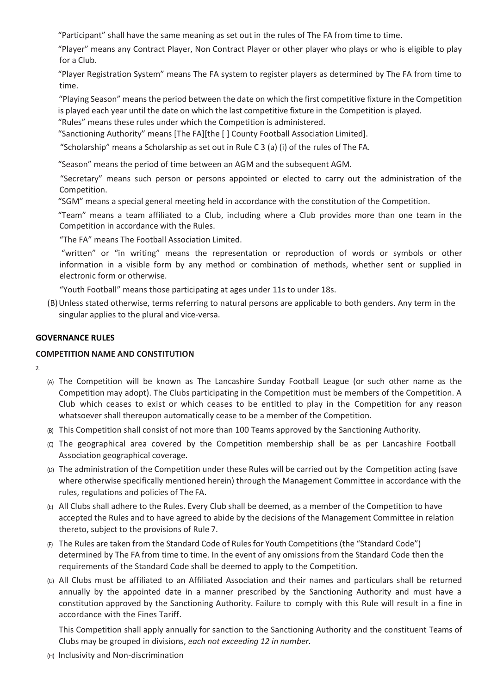"Participant" shall have the same meaning as set out in the rules of The FA from time to time.

"Player" means any Contract Player, Non Contract Player or other player who plays or who is eligible to play for a Club.

"Player Registration System" means The FA system to register players as determined by The FA from time to time.

"Playing Season" means the period between the date on which the first competitive fixture in the Competition is played each year until the date on which the last competitive fixture in the Competition is played.

"Rules" means these rules under which the Competition is administered.

"Sanctioning Authority" means [The FA][the [ ] County Football Association Limited].

"Scholarship" means a Scholarship as set out in Rule C 3 (a) (i) of the rules of The FA.

"Season" means the period of time between an AGM and the subsequent AGM.

"Secretary" means such person or persons appointed or elected to carry out the administration of the Competition.

"SGM" means a special general meeting held in accordance with the constitution of the Competition.

"Team" means a team affiliated to a Club, including where a Club provides more than one team in the Competition in accordance with the Rules.

"The FA" means The Football Association Limited.

"written" or "in writing" means the representation or reproduction of words or symbols or other information in a visible form by any method or combination of methods, whether sent or supplied in electronic form or otherwise.

"Youth Football" means those participating at ages under 11s to under 18s.

(B)Unless stated otherwise, terms referring to natural persons are applicable to both genders. Any term in the singular applies to the plural and vice-versa.

## **GOVERNANCE RULES**

#### **COMPETITION NAME AND CONSTITUTION**

- $\overline{2}$
- (A) The Competition will be known as The Lancashire Sunday Football League (or such other name as the Competition may adopt). The Clubs participating in the Competition must be members of the Competition. A Club which ceases to exist or which ceases to be entitled to play in the Competition for any reason whatsoever shall thereupon automatically cease to be a member of the Competition.
- (B) This Competition shall consist of not more than 100 Teams approved by the Sanctioning Authority.
- (C) The geographical area covered by the Competition membership shall be as per Lancashire Football Association geographical coverage.
- (D) The administration of the Competition under these Rules will be carried out by the Competition acting (save where otherwise specifically mentioned herein) through the Management Committee in accordance with the rules, regulations and policies of The FA.
- (E) All Clubs shall adhere to the Rules. Every Club shall be deemed, as a member of the Competition to have accepted the Rules and to have agreed to abide by the decisions of the Management Committee in relation thereto, subject to the provisions of Rule 7.
- $(F)$  The Rules are taken from the Standard Code of Rules for Youth Competitions (the "Standard Code") determined by The FA from time to time. In the event of any omissions from the Standard Code then the requirements of the Standard Code shall be deemed to apply to the Competition.
- (G) All Clubs must be affiliated to an Affiliated Association and their names and particulars shall be returned annually by the appointed date in a manner prescribed by the Sanctioning Authority and must have a constitution approved by the Sanctioning Authority. Failure to comply with this Rule will result in a fine in accordance with the Fines Tariff.

This Competition shall apply annually for sanction to the Sanctioning Authority and the constituent Teams of Clubs may be grouped in divisions, *each not exceeding 12 in number.*

(H) Inclusivity and Non-discrimination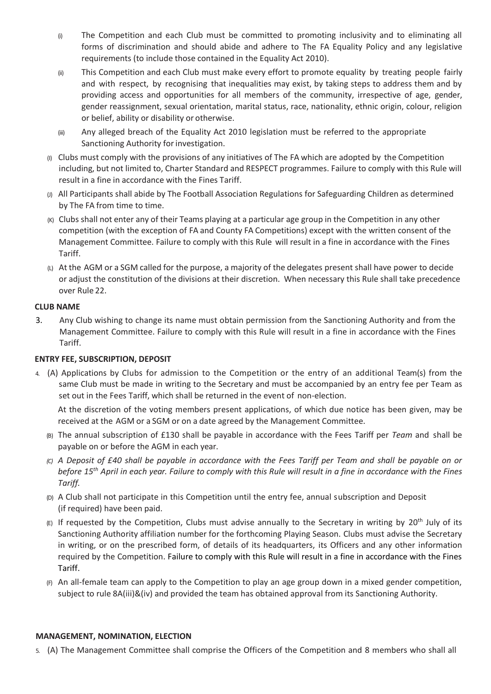- (i) The Competition and each Club must be committed to promoting inclusivity and to eliminating all forms of discrimination and should abide and adhere to The FA Equality Policy and any legislative requirements (to include those contained in the Equality Act 2010).
- (ii) This Competition and each Club must make every effort to promote equality by treating people fairly and with respect, by recognising that inequalities may exist, by taking steps to address them and by providing access and opportunities for all members of the community, irrespective of age, gender, gender reassignment, sexual orientation, marital status, race, nationality, ethnic origin, colour, religion or belief, ability or disability or otherwise.
- (iii) Any alleged breach of the Equality Act 2010 legislation must be referred to the appropriate Sanctioning Authority for investigation.
- (I) Clubs must comply with the provisions of any initiatives of The FA which are adopted by the Competition including, but not limited to, Charter Standard and RESPECT programmes. Failure to comply with this Rule will result in a fine in accordance with the Fines Tariff.
- (J) All Participants shall abide by The Football Association Regulations for Safeguarding Children as determined by The FA from time to time.
- (K) Clubs shall not enter any of their Teams playing at a particular age group in the Competition in any other competition (with the exception of FA and County FA Competitions) except with the written consent of the Management Committee. Failure to comply with this Rule will result in a fine in accordance with the Fines Tariff.
- (L) At the AGM or a SGM called for the purpose, a majority of the delegates present shall have power to decide or adjust the constitution of the divisions at their discretion. When necessary this Rule shall take precedence over Rule 22.

# **CLUB NAME**

3. Any Club wishing to change its name must obtain permission from the Sanctioning Authority and from the Management Committee. Failure to comply with this Rule will result in a fine in accordance with the Fines Tariff.

# **ENTRY FEE, SUBSCRIPTION, DEPOSIT**

4. (A) Applications by Clubs for admission to the Competition or the entry of an additional Team(s) from the same Club must be made in writing to the Secretary and must be accompanied by an entry fee per Team as set out in the Fees Tariff, which shall be returned in the event of non-election.

At the discretion of the voting members present applications, of which due notice has been given, may be received at the AGM or a SGM or on a date agreed by the Management Committee.

- (B) The annual subscription of £130 shall be payable in accordance with the Fees Tariff per *Team* and shall be payable on or before the AGM in each year.
- *(C) A Deposit of £40 shall be payable in accordance with the Fees Tariff per Team and shall be payable on or*  before 15<sup>th</sup> April in each year. Failure to comply with this Rule will result in a fine in accordance with the Fines *Tariff.*
- (D) A Club shall not participate in this Competition until the entry fee, annual subscription and Deposit (if required) have been paid.
- (E) If requested by the Competition, Clubs must advise annually to the Secretary in writing by 20<sup>th</sup> July of its Sanctioning Authority affiliation number for the forthcoming Playing Season. Clubs must advise the Secretary in writing, or on the prescribed form, of details of its headquarters, its Officers and any other information required by the Competition. Failure to comply with this Rule will result in a fine in accordance with the Fines Tariff.
- $(F)$  An all-female team can apply to the Competition to play an age group down in a mixed gender competition, subject to rule 8A(iii)&(iv) and provided the team has obtained approval from its Sanctioning Authority.

#### **MANAGEMENT, NOMINATION, ELECTION**

5. (A) The Management Committee shall comprise the Officers of the Competition and 8 members who shall all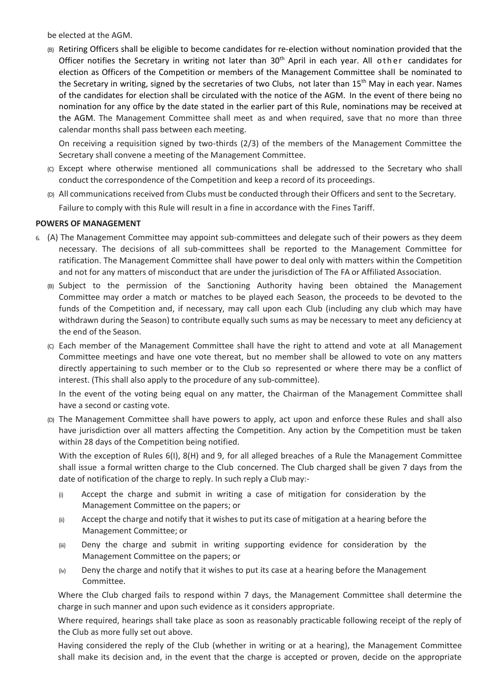be elected at the AGM.

(B) Retiring Officers shall be eligible to become candidates for re-election without nomination provided that the Officer notifies the Secretary in writing not later than 30<sup>th</sup> April in each year. All other candidates for election as Officers of the Competition or members of the Management Committee shall be nominated to the Secretary in writing, signed by the secretaries of two Clubs, not later than 15<sup>th</sup> May in each year. Names of the candidates for election shall be circulated with the notice of the AGM. In the event of there being no nomination for any office by the date stated in the earlier part of this Rule, nominations may be received at the AGM. The Management Committee shall meet as and when required, save that no more than three calendar months shall pass between each meeting.

On receiving a requisition signed by two-thirds (2/3) of the members of the Management Committee the Secretary shall convene a meeting of the Management Committee.

- (C) Except where otherwise mentioned all communications shall be addressed to the Secretary who shall conduct the correspondence of the Competition and keep a record of its proceedings.
- (D) All communications received from Clubs must be conducted through their Officers and sent to the Secretary. Failure to comply with this Rule will result in a fine in accordance with the Fines Tariff.

## **POWERS OF MANAGEMENT**

- 6. (A) The Management Committee may appoint sub-committees and delegate such of their powers as they deem necessary. The decisions of all sub-committees shall be reported to the Management Committee for ratification. The Management Committee shall have power to deal only with matters within the Competition and not for any matters of misconduct that are under the jurisdiction of The FA or Affiliated Association.
	- (B) Subject to the permission of the Sanctioning Authority having been obtained the Management Committee may order a match or matches to be played each Season, the proceeds to be devoted to the funds of the Competition and, if necessary, may call upon each Club (including any club which may have withdrawn during the Season) to contribute equally such sums as may be necessary to meet any deficiency at the end of the Season.
	- (C) Each member of the Management Committee shall have the right to attend and vote at all Management Committee meetings and have one vote thereat, but no member shall be allowed to vote on any matters directly appertaining to such member or to the Club so represented or where there may be a conflict of interest. (This shall also apply to the procedure of any sub-committee).

In the event of the voting being equal on any matter, the Chairman of the Management Committee shall have a second or casting vote.

(D) The Management Committee shall have powers to apply, act upon and enforce these Rules and shall also have jurisdiction over all matters affecting the Competition. Any action by the Competition must be taken within 28 days of the Competition being notified.

With the exception of Rules 6(I), 8(H) and 9, for all alleged breaches of a Rule the Management Committee shall issue a formal written charge to the Club concerned. The Club charged shall be given 7 days from the date of notification of the charge to reply. In such reply a Club may:-

- (i) Accept the charge and submit in writing a case of mitigation for consideration by the Management Committee on the papers; or
- (ii) Accept the charge and notify that it wishes to put its case of mitigation at a hearing before the Management Committee; or
- (iii) Deny the charge and submit in writing supporting evidence for consideration by the Management Committee on the papers; or
- $(iv)$  Deny the charge and notify that it wishes to put its case at a hearing before the Management Committee.

Where the Club charged fails to respond within 7 days, the Management Committee shall determine the charge in such manner and upon such evidence as it considers appropriate.

Where required, hearings shall take place as soon as reasonably practicable following receipt of the reply of the Club as more fully set out above.

Having considered the reply of the Club (whether in writing or at a hearing), the Management Committee shall make its decision and, in the event that the charge is accepted or proven, decide on the appropriate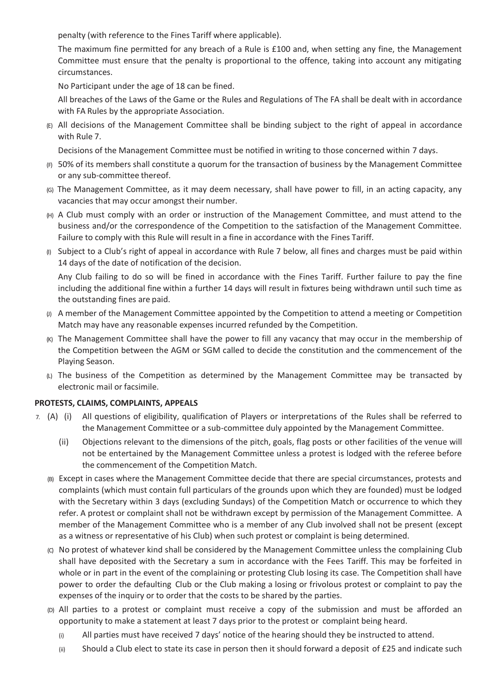penalty (with reference to the Fines Tariff where applicable).

The maximum fine permitted for any breach of a Rule is £100 and, when setting any fine, the Management Committee must ensure that the penalty is proportional to the offence, taking into account any mitigating circumstances.

No Participant under the age of 18 can be fined.

All breaches of the Laws of the Game or the Rules and Regulations of The FA shall be dealt with in accordance with FA Rules by the appropriate Association.

(E) All decisions of the Management Committee shall be binding subject to the right of appeal in accordance with Rule 7.

Decisions of the Management Committee must be notified in writing to those concerned within 7 days.

- $(F)$  50% of its members shall constitute a quorum for the transaction of business by the Management Committee or any sub-committee thereof.
- (G) The Management Committee, as it may deem necessary, shall have power to fill, in an acting capacity, any vacancies that may occur amongst their number.
- (H) A Club must comply with an order or instruction of the Management Committee, and must attend to the business and/or the correspondence of the Competition to the satisfaction of the Management Committee. Failure to comply with this Rule will result in a fine in accordance with the Fines Tariff.
- (I) Subject to a Club's right of appeal in accordance with Rule 7 below, all fines and charges must be paid within 14 days of the date of notification of the decision.

Any Club failing to do so will be fined in accordance with the Fines Tariff. Further failure to pay the fine including the additional fine within a further 14 days will result in fixtures being withdrawn until such time as the outstanding fines are paid.

- $(y)$  A member of the Management Committee appointed by the Competition to attend a meeting or Competition Match may have any reasonable expenses incurred refunded by the Competition.
- (K) The Management Committee shall have the power to fill any vacancy that may occur in the membership of the Competition between the AGM or SGM called to decide the constitution and the commencement of the Playing Season.
- (L) The business of the Competition as determined by the Management Committee may be transacted by electronic mail or facsimile.

# **PROTESTS, CLAIMS, COMPLAINTS, APPEALS**

- 7. (A) (i) All questions of eligibility, qualification of Players or interpretations of the Rules shall be referred to the Management Committee or a sub-committee duly appointed by the Management Committee.
	- (ii) Objections relevant to the dimensions of the pitch, goals, flag posts or other facilities of the venue will not be entertained by the Management Committee unless a protest is lodged with the referee before the commencement of the Competition Match.
	- (B) Except in cases where the Management Committee decide that there are special circumstances, protests and complaints (which must contain full particulars of the grounds upon which they are founded) must be lodged with the Secretary within 3 days (excluding Sundays) of the Competition Match or occurrence to which they refer. A protest or complaint shall not be withdrawn except by permission of the Management Committee. A member of the Management Committee who is a member of any Club involved shall not be present (except as a witness or representative of his Club) when such protest or complaint is being determined.
	- (C) No protest of whatever kind shall be considered by the Management Committee unless the complaining Club shall have deposited with the Secretary a sum in accordance with the Fees Tariff. This may be forfeited in whole or in part in the event of the complaining or protesting Club losing its case. The Competition shall have power to order the defaulting Club or the Club making a losing or frivolous protest or complaint to pay the expenses of the inquiry or to order that the costs to be shared by the parties.
	- (D) All parties to a protest or complaint must receive a copy of the submission and must be afforded an opportunity to make a statement at least 7 days prior to the protest or complaint being heard.
		- (i) All parties must have received 7 days' notice of the hearing should they be instructed to attend.
		- (ii) Should a Club elect to state its case in person then it should forward a deposit of £25 and indicate such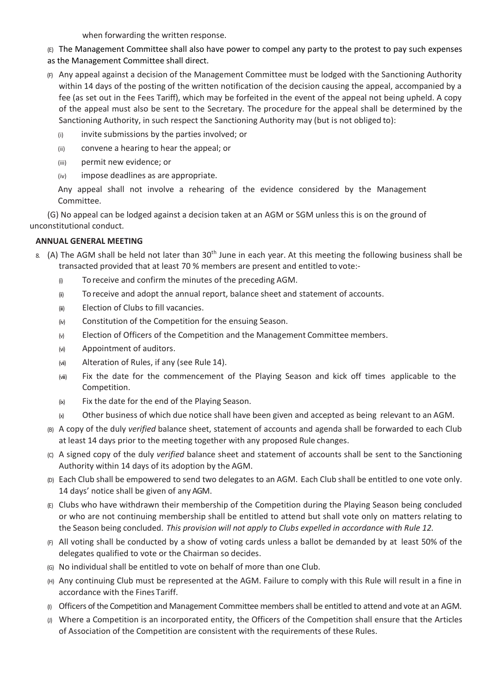when forwarding the written response.

(E) The Management Committee shall also have power to compel any party to the protest to pay such expenses

- as the Management Committee shall direct.
- (F) Any appeal against a decision of the Management Committee must be lodged with the Sanctioning Authority within 14 days of the posting of the written notification of the decision causing the appeal, accompanied by a fee (as set out in the Fees Tariff), which may be forfeited in the event of the appeal not being upheld. A copy of the appeal must also be sent to the Secretary. The procedure for the appeal shall be determined by the Sanctioning Authority, in such respect the Sanctioning Authority may (but is not obliged to):
	- (i) invite submissions by the parties involved; or
	- (ii) convene a hearing to hear the appeal; or
	- (iii) permit new evidence; or
	- (iv) impose deadlines as are appropriate.

Any appeal shall not involve a rehearing of the evidence considered by the Management Committee.

(G) No appeal can be lodged against a decision taken at an AGM or SGM unless this is on the ground of unconstitutional conduct.

# **ANNUAL GENERAL MEETING**

- 8. (A) The AGM shall be held not later than  $30<sup>th</sup>$  June in each year. At this meeting the following business shall be transacted provided that at least 70 % members are present and entitled to vote:-
	- (i) To receive and confirm the minutes of the preceding AGM.
	- (ii) To receive and adopt the annual report, balance sheet and statement of accounts.
	- (iii) Election of Clubs to fill vacancies.
	- (iv) Constitution of the Competition for the ensuing Season.
	- $(w)$  Election of Officers of the Competition and the Management Committee members.
	- (vi) Appointment of auditors.
	- (vii) Alteration of Rules, if any (see Rule 14).
	- (viii) Fix the date for the commencement of the Playing Season and kick off times applicable to the Competition.
	- (ix) Fix the date for the end of the Playing Season.
	- $(x)$  Other business of which due notice shall have been given and accepted as being relevant to an AGM.
	- (B) A copy of the duly *verified* balance sheet, statement of accounts and agenda shall be forwarded to each Club at least 14 days prior to the meeting together with any proposed Rule changes.
	- (C) A signed copy of the duly *verified* balance sheet and statement of accounts shall be sent to the Sanctioning Authority within 14 days of its adoption by the AGM.
	- (D) Each Club shall be empowered to send two delegates to an AGM. Each Club shall be entitled to one vote only. 14 days' notice shall be given of any AGM.
	- (E) Clubs who have withdrawn their membership of the Competition during the Playing Season being concluded or who are not continuing membership shall be entitled to attend but shall vote only on matters relating to the Season being concluded. *This provision will not apply to Clubs expelled in accordance with Rule 12.*
	- (F) All voting shall be conducted by a show of voting cards unless a ballot be demanded by at least 50% of the delegates qualified to vote or the Chairman so decides.
	- (G) No individual shall be entitled to vote on behalf of more than one Club.
	- (H) Any continuing Club must be represented at the AGM. Failure to comply with this Rule will result in a fine in accordance with the Fines Tariff.
	- (I) Officers of the Competition and Management Committee members shall be entitled to attend and vote at an AGM.
	- (J) Where a Competition is an incorporated entity, the Officers of the Competition shall ensure that the Articles of Association of the Competition are consistent with the requirements of these Rules.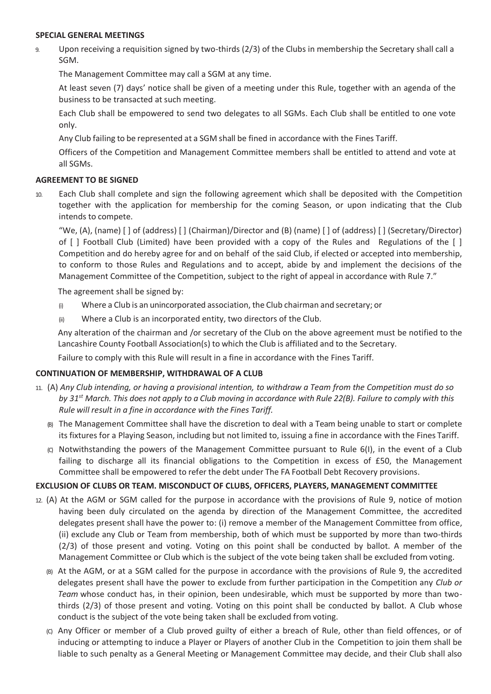#### **SPECIAL GENERAL MEETINGS**

9. Upon receiving a requisition signed by two-thirds (2/3) of the Clubs in membership the Secretary shall call a SGM.

The Management Committee may call a SGM at any time.

At least seven (7) days' notice shall be given of a meeting under this Rule, together with an agenda of the business to be transacted at such meeting.

Each Club shall be empowered to send two delegates to all SGMs. Each Club shall be entitled to one vote only.

Any Club failing to be represented at a SGM shall be fined in accordance with the Fines Tariff.

Officers of the Competition and Management Committee members shall be entitled to attend and vote at all SGMs.

#### **AGREEMENT TO BE SIGNED**

10. Each Club shall complete and sign the following agreement which shall be deposited with the Competition together with the application for membership for the coming Season, or upon indicating that the Club intends to compete.

"We, (A), (name) [ ] of (address) [ ] (Chairman)/Director and (B) (name) [ ] of (address) [ ] (Secretary/Director) of [ ] Football Club (Limited) have been provided with a copy of the Rules and Regulations of the [ ] Competition and do hereby agree for and on behalf of the said Club, if elected or accepted into membership, to conform to those Rules and Regulations and to accept, abide by and implement the decisions of the Management Committee of the Competition, subject to the right of appeal in accordance with Rule 7."

The agreement shall be signed by:

- (i) Where a Club is an unincorporated association, the Club chairman and secretary; or
- (ii) Where a Club is an incorporated entity, two directors of the Club.

Any alteration of the chairman and /or secretary of the Club on the above agreement must be notified to the Lancashire County Football Association(s) to which the Club is affiliated and to the Secretary.

Failure to comply with this Rule will result in a fine in accordance with the Fines Tariff.

# **CONTINUATION OF MEMBERSHIP, WITHDRAWAL OF A CLUB**

- 11. (A) *Any Club intending, or having a provisional intention, to withdraw a Team from the Competition must do so by 31st March. This does not apply to a Club moving in accordance with Rule 22(B). Failure to comply with this Rule will result in a fine in accordance with the Fines Tariff.*
	- (B) The Management Committee shall have the discretion to deal with a Team being unable to start or complete its fixtures for a Playing Season, including but not limited to, issuing a fine in accordance with the Fines Tariff.
	- (C) Notwithstanding the powers of the Management Committee pursuant to Rule 6(I), in the event of a Club failing to discharge all its financial obligations to the Competition in excess of £50, the Management Committee shall be empowered to refer the debt under The FA Football Debt Recovery provisions.

#### **EXCLUSION OF CLUBS OR TEAM. MISCONDUCT OF CLUBS, OFFICERS, PLAYERS, MANAGEMENT COMMITTEE**

- 12. (A) At the AGM or SGM called for the purpose in accordance with the provisions of Rule 9, notice of motion having been duly circulated on the agenda by direction of the Management Committee, the accredited delegates present shall have the power to: (i) remove a member of the Management Committee from office, (ii) exclude any Club or Team from membership, both of which must be supported by more than two-thirds (2/3) of those present and voting. Voting on this point shall be conducted by ballot. A member of the Management Committee or Club which is the subject of the vote being taken shall be excluded from voting.
	- (B) At the AGM, or at a SGM called for the purpose in accordance with the provisions of Rule 9, the accredited delegates present shall have the power to exclude from further participation in the Competition any *Club or Team* whose conduct has, in their opinion, been undesirable, which must be supported by more than twothirds (2/3) of those present and voting. Voting on this point shall be conducted by ballot. A Club whose conduct is the subject of the vote being taken shall be excluded from voting.
	- (C) Any Officer or member of a Club proved guilty of either a breach of Rule, other than field offences, or of inducing or attempting to induce a Player or Players of another Club in the Competition to join them shall be liable to such penalty as a General Meeting or Management Committee may decide, and their Club shall also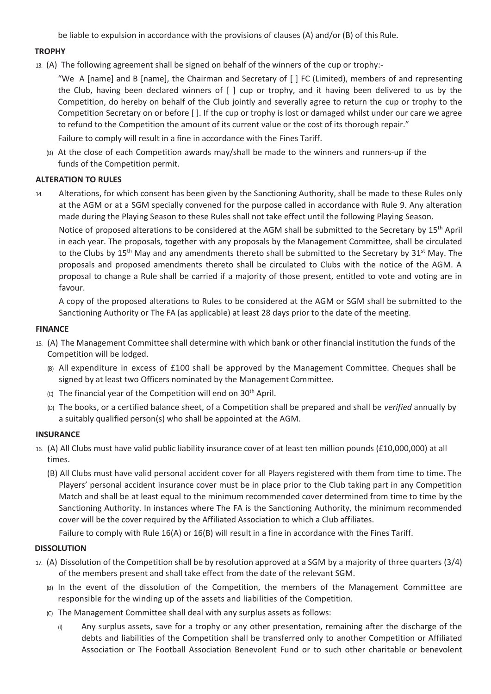be liable to expulsion in accordance with the provisions of clauses (A) and/or (B) of this Rule.

#### **TROPHY**

13. (A) The following agreement shall be signed on behalf of the winners of the cup or trophy:-

"We A [name] and B [name], the Chairman and Secretary of [ ] FC (Limited), members of and representing the Club, having been declared winners of [ ] cup or trophy, and it having been delivered to us by the Competition, do hereby on behalf of the Club jointly and severally agree to return the cup or trophy to the Competition Secretary on or before [ ]. If the cup or trophy is lost or damaged whilst under our care we agree to refund to the Competition the amount of its current value or the cost of its thorough repair."

Failure to comply will result in a fine in accordance with the Fines Tariff.

(B) At the close of each Competition awards may/shall be made to the winners and runners-up if the funds of the Competition permit.

## **ALTERATION TO RULES**

14. Alterations, for which consent has been given by the Sanctioning Authority, shall be made to these Rules only at the AGM or at a SGM specially convened for the purpose called in accordance with Rule 9. Any alteration made during the Playing Season to these Rules shall not take effect until the following Playing Season.

Notice of proposed alterations to be considered at the AGM shall be submitted to the Secretary by 15<sup>th</sup> April in each year. The proposals, together with any proposals by the Management Committee, shall be circulated to the Clubs by 15<sup>th</sup> May and any amendments thereto shall be submitted to the Secretary by 31<sup>st</sup> May. The proposals and proposed amendments thereto shall be circulated to Clubs with the notice of the AGM. A proposal to change a Rule shall be carried if a majority of those present, entitled to vote and voting are in favour.

A copy of the proposed alterations to Rules to be considered at the AGM or SGM shall be submitted to the Sanctioning Authority or The FA (as applicable) at least 28 days prior to the date of the meeting.

#### **FINANCE**

- 15. (A) The Management Committee shall determine with which bank or other financial institution the funds of the Competition will be lodged.
	- (B) All expenditure in excess of £100 shall be approved by the Management Committee. Cheques shall be signed by at least two Officers nominated by the Management Committee.
	- (c) The financial year of the Competition will end on  $30<sup>th</sup>$  April.
	- (D) The books, or a certified balance sheet, of a Competition shall be prepared and shall be *verified* annually by a suitably qualified person(s) who shall be appointed at the AGM.

#### **INSURANCE**

- 16. (A) All Clubs must have valid public liability insurance cover of at least ten million pounds (£10,000,000) at all times.
	- (B) All Clubs must have valid personal accident cover for all Players registered with them from time to time. The Players' personal accident insurance cover must be in place prior to the Club taking part in any Competition Match and shall be at least equal to the minimum recommended cover determined from time to time by the Sanctioning Authority. In instances where The FA is the Sanctioning Authority, the minimum recommended cover will be the cover required by the Affiliated Association to which a Club affiliates.

Failure to comply with Rule 16(A) or 16(B) will result in a fine in accordance with the Fines Tariff.

#### **DISSOLUTION**

- 17. (A) Dissolution of the Competition shall be by resolution approved at a SGM by a majority of three quarters (3/4) of the members present and shall take effect from the date of the relevant SGM.
	- (B) In the event of the dissolution of the Competition, the members of the Management Committee are responsible for the winding up of the assets and liabilities of the Competition.
	- (C) The Management Committee shall deal with any surplus assets as follows:
		- (i) Any surplus assets, save for a trophy or any other presentation, remaining after the discharge of the debts and liabilities of the Competition shall be transferred only to another Competition or Affiliated Association or The Football Association Benevolent Fund or to such other charitable or benevolent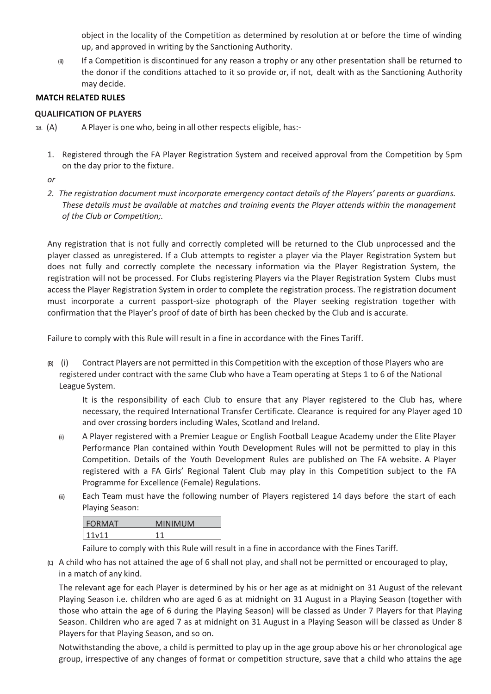object in the locality of the Competition as determined by resolution at or before the time of winding up, and approved in writing by the Sanctioning Authority.

(ii) If a Competition is discontinued for any reason a trophy or any other presentation shall be returned to the donor if the conditions attached to it so provide or, if not, dealt with as the Sanctioning Authority may decide.

## **MATCH RELATED RULES**

#### **QUALIFICATION OF PLAYERS**

- 18. (A) A Player is one who, being in all other respects eligible, has:-
	- 1. Registered through the FA Player Registration System and received approval from the Competition by 5pm on the day prior to the fixture.

*or*

*2. The registration document must incorporate emergency contact details of the Players' parents or guardians. These details must be available at matches and training events the Player attends within the management of the Club or Competition;.* 

Any registration that is not fully and correctly completed will be returned to the Club unprocessed and the player classed as unregistered. If a Club attempts to register a player via the Player Registration System but does not fully and correctly complete the necessary information via the Player Registration System, the registration will not be processed. For Clubs registering Players via the Player Registration System Clubs must access the Player Registration System in order to complete the registration process. The registration document must incorporate a current passport-size photograph of the Player seeking registration together with confirmation that the Player's proof of date of birth has been checked by the Club and is accurate.

Failure to comply with this Rule will result in a fine in accordance with the Fines Tariff.

(B) (i) Contract Players are not permitted in this Competition with the exception of those Players who are registered under contract with the same Club who have a Team operating at Steps 1 to 6 of the National League System.

It is the responsibility of each Club to ensure that any Player registered to the Club has, where necessary, the required International Transfer Certificate. Clearance is required for any Player aged 10 and over crossing borders including Wales, Scotland and Ireland.

- (ii) A Player registered with a Premier League or English Football League Academy under the Elite Player Performance Plan contained within Youth Development Rules will not be permitted to play in this Competition. Details of the Youth Development Rules are published on The FA website. A Player registered with a FA Girls' Regional Talent Club may play in this Competition subject to the FA Programme for Excellence (Female) Regulations.
- (iii) Each Team must have the following number of Players registered 14 days before the start of each Playing Season:

| <b>FORMAT</b>       | <b>MINIMUM</b> |
|---------------------|----------------|
| 111 <sub>v</sub> 11 |                |

Failure to comply with this Rule will result in a fine in accordance with the Fines Tariff.

(C) A child who has not attained the age of 6 shall not play, and shall not be permitted or encouraged to play, in a match of any kind.

The relevant age for each Player is determined by his or her age as at midnight on 31 August of the relevant Playing Season i.e. children who are aged 6 as at midnight on 31 August in a Playing Season (together with those who attain the age of 6 during the Playing Season) will be classed as Under 7 Players for that Playing Season. Children who are aged 7 as at midnight on 31 August in a Playing Season will be classed as Under 8 Players for that Playing Season, and so on.

Notwithstanding the above, a child is permitted to play up in the age group above his or her chronological age group, irrespective of any changes of format or competition structure, save that a child who attains the age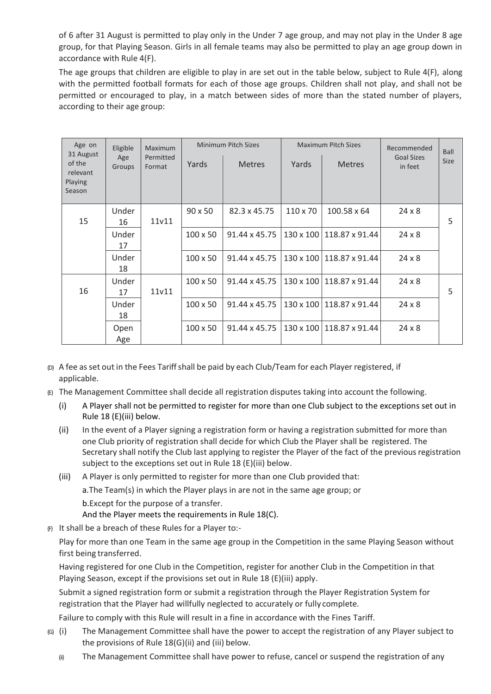of 6 after 31 August is permitted to play only in the Under 7 age group, and may not play in the Under 8 age group, for that Playing Season. Girls in all female teams may also be permitted to play an age group down in accordance with Rule 4(F).

The age groups that children are eligible to play in are set out in the table below, subject to Rule 4(F), along with the permitted football formats for each of those age groups. Children shall not play, and shall not be permitted or encouraged to play, in a match between sides of more than the stated number of players, according to their age group:

| Age on<br>31 August                     | Eligible                             | Maximum           | <b>Minimum Pitch Sizes</b> |               | <b>Maximum Pitch Sizes</b> |                            | Recommended                  | <b>Ball</b> |
|-----------------------------------------|--------------------------------------|-------------------|----------------------------|---------------|----------------------------|----------------------------|------------------------------|-------------|
| of the<br>relevant<br>Playing<br>Season | Permitted<br>Age<br>Format<br>Groups |                   | Yards                      | <b>Metres</b> | Yards                      | <b>Metres</b>              | <b>Goal Sizes</b><br>in feet | <b>Size</b> |
| 15                                      | Under<br>16                          | 11 <sub>v11</sub> | $90 \times 50$             | 82.3 x 45.75  | $110 \times 70$            | 100.58 x 64                | $24 \times 8$                | 5           |
|                                         | Under<br>17                          |                   | $100 \times 50$            | 91.44 x 45.75 |                            | 130 x 100   118.87 x 91.44 | $24 \times 8$                |             |
|                                         | Under<br>18                          |                   | $100 \times 50$            | 91.44 x 45.75 |                            | 130 x 100   118.87 x 91.44 | $24 \times 8$                |             |
| 16                                      | Under<br>17                          | 11v11             | $100 \times 50$            | 91.44 x 45.75 |                            | 130 x 100 118.87 x 91.44   | $24 \times 8$                | 5           |
|                                         | Under<br>18                          |                   | $100 \times 50$            | 91.44 x 45.75 | 130 x 100                  | $118.87 \times 91.44$      | $24 \times 8$                |             |
|                                         | Open<br>Age                          |                   | 100 x 50                   | 91.44 x 45.75 | 130 x 100                  | 118.87 x 91.44             | $24 \times 8$                |             |

- (D) A fee asset out in the Fees Tariffshall be paid by each Club/Team for each Player registered, if applicable.
- (E) The Management Committee shall decide all registration disputes taking into account the following.
	- (i) A Player shall not be permitted to register for more than one Club subject to the exceptions set out in Rule 18 (E)(iii) below.
	- (ii) In the event of a Player signing a registration form or having a registration submitted for more than one Club priority of registration shall decide for which Club the Player shall be registered. The Secretary shall notify the Club last applying to register the Player of the fact of the previousregistration subject to the exceptions set out in Rule 18 (E)(iii) below.
	- (iii) A Player is only permitted to register for more than one Club provided that: a.The Team(s) in which the Player plays in are not in the same age group; or b.Except for the purpose of a transfer.

And the Player meets the requirements in Rule 18(C).

(F) It shall be a breach of these Rules for a Player to:-

Play for more than one Team in the same age group in the Competition in the same Playing Season without first being transferred.

Having registered for one Club in the Competition, register for another Club in the Competition in that Playing Season, except if the provisions set out in Rule 18 (E)(iii) apply.

Submit a signed registration form or submit a registration through the Player Registration System for registration that the Player had willfully neglected to accurately or fully complete.

Failure to comply with this Rule will result in a fine in accordance with the Fines Tariff.

- (G) (i) The Management Committee shall have the power to accept the registration of any Player subject to the provisions of Rule 18(G)(ii) and (iii) below.
	- (ii) The Management Committee shall have power to refuse, cancel or suspend the registration of any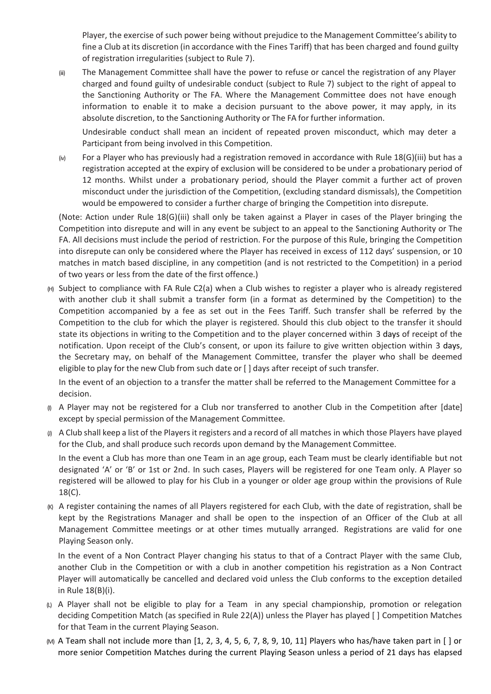Player, the exercise of such power being without prejudice to the Management Committee's ability to fine a Club at its discretion (in accordance with the Fines Tariff) that has been charged and found guilty of registration irregularities (subject to Rule 7).

(iii) The Management Committee shall have the power to refuse or cancel the registration of any Player charged and found guilty of undesirable conduct (subject to Rule 7) subject to the right of appeal to the Sanctioning Authority or The FA. Where the Management Committee does not have enough information to enable it to make a decision pursuant to the above power, it may apply, in its absolute discretion, to the Sanctioning Authority or The FA for further information.

Undesirable conduct shall mean an incident of repeated proven misconduct, which may deter a Participant from being involved in this Competition.

(iv) For a Player who has previously had a registration removed in accordance with Rule 18(G)(iii) but has a registration accepted at the expiry of exclusion will be considered to be under a probationary period of 12 months. Whilst under a probationary period, should the Player commit a further act of proven misconduct under the jurisdiction of the Competition, (excluding standard dismissals), the Competition would be empowered to consider a further charge of bringing the Competition into disrepute.

(Note: Action under Rule 18(G)(iii) shall only be taken against a Player in cases of the Player bringing the Competition into disrepute and will in any event be subject to an appeal to the Sanctioning Authority or The FA. All decisions must include the period of restriction. For the purpose of this Rule, bringing the Competition into disrepute can only be considered where the Player has received in excess of 112 days' suspension, or 10 matches in match based discipline, in any competition (and is not restricted to the Competition) in a period of two years or less from the date of the first offence.)

(H) Subject to compliance with FA Rule C2(a) when a Club wishes to register a player who is already registered with another club it shall submit a transfer form (in a format as determined by the Competition) to the Competition accompanied by a fee as set out in the Fees Tariff. Such transfer shall be referred by the Competition to the club for which the player is registered. Should this club object to the transfer it should state its objections in writing to the Competition and to the player concerned within 3 days of receipt of the notification. Upon receipt of the Club's consent, or upon its failure to give written objection within 3 days, the Secretary may, on behalf of the Management Committee, transfer the player who shall be deemed eligible to play for the new Club from such date or [ ] days after receipt of such transfer.

In the event of an objection to a transfer the matter shall be referred to the Management Committee for a decision.

- (I) A Player may not be registered for a Club nor transferred to another Club in the Competition after [date] except by special permission of the Management Committee.
- $\varphi$  A Club shall keep a list of the Players it registers and a record of all matches in which those Players have played for the Club, and shall produce such records upon demand by the Management Committee.

In the event a Club has more than one Team in an age group, each Team must be clearly identifiable but not designated 'A' or 'B' or 1st or 2nd. In such cases, Players will be registered for one Team only. A Player so registered will be allowed to play for his Club in a younger or older age group within the provisions of Rule 18(C).

(K) A register containing the names of all Players registered for each Club, with the date of registration, shall be kept by the Registrations Manager and shall be open to the inspection of an Officer of the Club at all Management Committee meetings or at other times mutually arranged. Registrations are valid for one Playing Season only.

In the event of a Non Contract Player changing his status to that of a Contract Player with the same Club, another Club in the Competition or with a club in another competition his registration as a Non Contract Player will automatically be cancelled and declared void unless the Club conforms to the exception detailed in Rule 18(B)(i).

- (L) A Player shall not be eligible to play for a Team in any special championship, promotion or relegation deciding Competition Match (as specified in Rule 22(A)) unless the Player has played [ ] Competition Matches for that Team in the current Playing Season.
- $(M)$  A Team shall not include more than [1, 2, 3, 4, 5, 6, 7, 8, 9, 10, 11] Players who has/have taken part in [ ] or more senior Competition Matches during the current Playing Season unless a period of 21 days has elapsed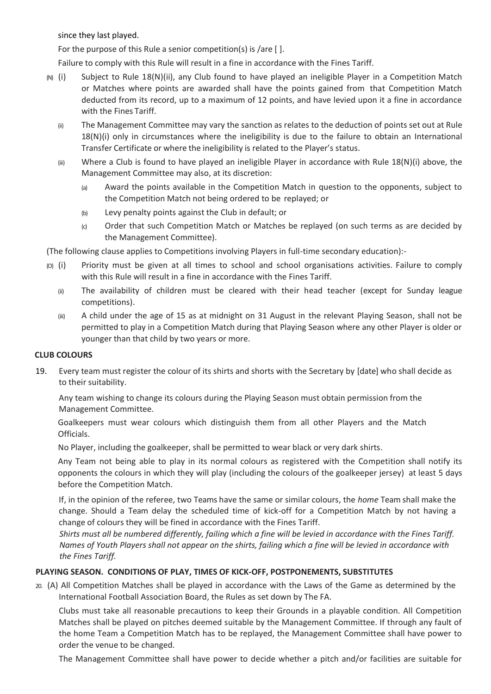since they last played.

For the purpose of this Rule a senior competition(s) is /are [ ].

Failure to comply with this Rule will result in a fine in accordance with the Fines Tariff.

- (N) (i) Subject to Rule 18(N)(ii), any Club found to have played an ineligible Player in a Competition Match or Matches where points are awarded shall have the points gained from that Competition Match deducted from its record, up to a maximum of 12 points, and have levied upon it a fine in accordance with the Fines Tariff.
	- (ii) The Management Committee may vary the sanction as relates to the deduction of points set out at Rule 18(N)(i) only in circumstances where the ineligibility is due to the failure to obtain an International Transfer Certificate or where the ineligibility is related to the Player's status.
	- $(iii)$  Where a Club is found to have played an ineligible Player in accordance with Rule 18(N)(i) above, the Management Committee may also, at its discretion:
		- (a) Award the points available in the Competition Match in question to the opponents, subject to the Competition Match not being ordered to be replayed; or
		- (b) Levy penalty points against the Club in default; or
		- (c) Order that such Competition Match or Matches be replayed (on such terms as are decided by the Management Committee).

(The following clause applies to Competitions involving Players in full-time secondary education):-

- (O) (i) Priority must be given at all times to school and school organisations activities. Failure to comply with this Rule will result in a fine in accordance with the Fines Tariff.
	- (ii) The availability of children must be cleared with their head teacher (except for Sunday league competitions).
	- (iii) A child under the age of 15 as at midnight on 31 August in the relevant Playing Season, shall not be permitted to play in a Competition Match during that Playing Season where any other Player is older or younger than that child by two years or more.

# **CLUB COLOURS**

19. Every team must register the colour of its shirts and shorts with the Secretary by [date] who shall decide as to their suitability.

Any team wishing to change its colours during the Playing Season must obtain permission from the Management Committee.

Goalkeepers must wear colours which distinguish them from all other Players and the Match Officials.

No Player, including the goalkeeper, shall be permitted to wear black or very dark shirts.

Any Team not being able to play in its normal colours as registered with the Competition shall notify its opponents the colours in which they will play (including the colours of the goalkeeper jersey) at least 5 days before the Competition Match.

If, in the opinion of the referee, two Teams have the same or similar colours, the *home* Team shall make the change. Should a Team delay the scheduled time of kick-off for a Competition Match by not having a change of colours they will be fined in accordance with the Fines Tariff.

*Shirts must all be numbered differently, failing which a fine will be levied in accordance with the Fines Tariff. Names of Youth Players shall not appear on the shirts, failing which a fine will be levied in accordance with the Fines Tariff.*

# **PLAYING SEASON. CONDITIONS OF PLAY, TIMES OF KICK-OFF, POSTPONEMENTS, SUBSTITUTES**

20. (A) All Competition Matches shall be played in accordance with the Laws of the Game as determined by the International Football Association Board, the Rules as set down by The FA.

Clubs must take all reasonable precautions to keep their Grounds in a playable condition. All Competition Matches shall be played on pitches deemed suitable by the Management Committee. If through any fault of the home Team a Competition Match has to be replayed, the Management Committee shall have power to order the venue to be changed.

The Management Committee shall have power to decide whether a pitch and/or facilities are suitable for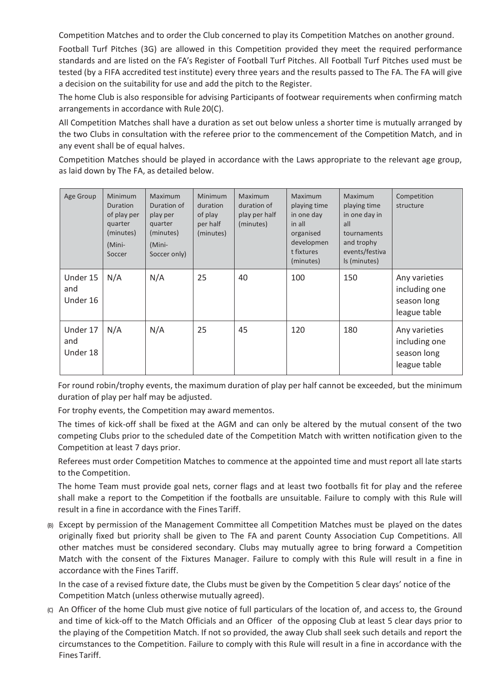Competition Matches and to order the Club concerned to play its Competition Matches on another ground.

Football Turf Pitches (3G) are allowed in this Competition provided they meet the required performance standards and are listed on the FA's Register of Football Turf Pitches. All Football Turf Pitches used must be tested (by a FIFA accredited test institute) every three years and the results passed to The FA. The FA will give a decision on the suitability for use and add the pitch to the Register.

The home Club is also responsible for advising Participants of footwear requirements when confirming match arrangements in accordance with Rule 20(C).

All Competition Matches shall have a duration as set out below unless a shorter time is mutually arranged by the two Clubs in consultation with the referee prior to the commencement of the Competition Match, and in any event shall be of equal halves.

Competition Matches should be played in accordance with the Laws appropriate to the relevant age group, as laid down by The FA, as detailed below.

| Age Group                   | <b>Minimum</b><br>Duration<br>of play per<br>quarter<br>(minutes)<br>(Mini-<br>Soccer | <b>Maximum</b><br>Duration of<br>play per<br>quarter<br>(minutes)<br>(Mini-<br>Soccer only) | <b>Minimum</b><br>duration<br>of play<br>per half<br>(minutes) | Maximum<br>duration of<br>play per half<br>(minutes) | <b>Maximum</b><br>playing time<br>in one day<br>in all<br>organised<br>developmen<br>t fixtures<br>(minutes) | Maximum<br>playing time<br>in one day in<br>all<br>tournaments<br>and trophy<br>events/festiva<br>Is (minutes) | Competition<br>structure                                      |
|-----------------------------|---------------------------------------------------------------------------------------|---------------------------------------------------------------------------------------------|----------------------------------------------------------------|------------------------------------------------------|--------------------------------------------------------------------------------------------------------------|----------------------------------------------------------------------------------------------------------------|---------------------------------------------------------------|
| Under 15<br>and<br>Under 16 | N/A                                                                                   | N/A                                                                                         | 25                                                             | 40                                                   | 100                                                                                                          | 150                                                                                                            | Any varieties<br>including one<br>season long<br>league table |
| Under 17<br>and<br>Under 18 | N/A                                                                                   | N/A                                                                                         | 25                                                             | 45                                                   | 120                                                                                                          | 180                                                                                                            | Any varieties<br>including one<br>season long<br>league table |

For round robin/trophy events, the maximum duration of play per half cannot be exceeded, but the minimum duration of play per half may be adjusted.

For trophy events, the Competition may award mementos.

The times of kick-off shall be fixed at the AGM and can only be altered by the mutual consent of the two competing Clubs prior to the scheduled date of the Competition Match with written notification given to the Competition at least 7 days prior.

Referees must order Competition Matches to commence at the appointed time and must report all late starts to the Competition.

The home Team must provide goal nets, corner flags and at least two footballs fit for play and the referee shall make a report to the Competition if the footballs are unsuitable. Failure to comply with this Rule will result in a fine in accordance with the Fines Tariff.

(B) Except by permission of the Management Committee all Competition Matches must be played on the dates originally fixed but priority shall be given to The FA and parent County Association Cup Competitions. All other matches must be considered secondary. Clubs may mutually agree to bring forward a Competition Match with the consent of the Fixtures Manager. Failure to comply with this Rule will result in a fine in accordance with the Fines Tariff.

In the case of a revised fixture date, the Clubs must be given by the Competition 5 clear days' notice of the Competition Match (unless otherwise mutually agreed).

(C) An Officer of the home Club must give notice of full particulars of the location of, and access to, the Ground and time of kick-off to the Match Officials and an Officer of the opposing Club at least 5 clear days prior to the playing of the Competition Match. If not so provided, the away Club shall seek such details and report the circumstances to the Competition. Failure to comply with this Rule will result in a fine in accordance with the Fines Tariff.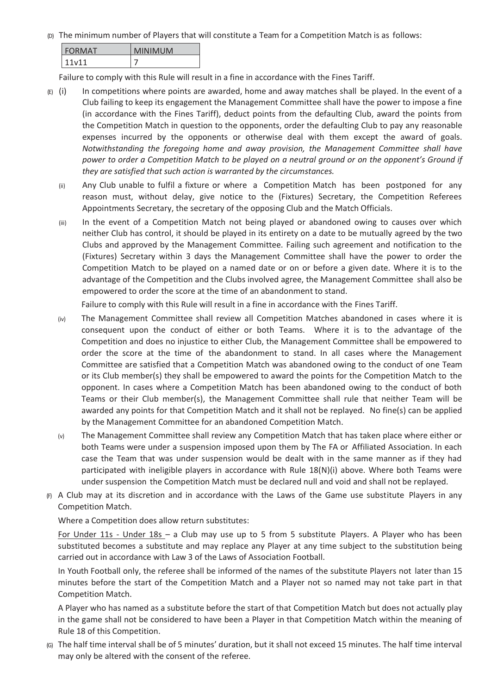(D) The minimum number of Players that will constitute a Team for a Competition Match is as follows:

| <b>FORMAT</b> | <b>MINIMUM</b> |
|---------------|----------------|
| 11v11         |                |

Failure to comply with this Rule will result in a fine in accordance with the Fines Tariff.

- $(E)$  (i) In competitions where points are awarded, home and away matches shall be played. In the event of a Club failing to keep its engagement the Management Committee shall have the power to impose a fine (in accordance with the Fines Tariff), deduct points from the defaulting Club, award the points from the Competition Match in question to the opponents, order the defaulting Club to pay any reasonable expenses incurred by the opponents or otherwise deal with them except the award of goals. *Notwithstanding the foregoing home and away provision, the Management Committee shall have power to order a Competition Match to be played on a neutral ground or on the opponent's Ground if they are satisfied that such action is warranted by the circumstances.*
	- (ii) Any Club unable to fulfil a fixture or where a Competition Match has been postponed for any reason must, without delay, give notice to the (Fixtures) Secretary, the Competition Referees Appointments Secretary, the secretary of the opposing Club and the Match Officials.
	- (iii) In the event of a Competition Match not being played or abandoned owing to causes over which neither Club has control, it should be played in its entirety on a date to be mutually agreed by the two Clubs and approved by the Management Committee. Failing such agreement and notification to the (Fixtures) Secretary within 3 days the Management Committee shall have the power to order the Competition Match to be played on a named date or on or before a given date. Where it is to the advantage of the Competition and the Clubs involved agree, the Management Committee shall also be empowered to order the score at the time of an abandonment to stand*.*

Failure to comply with this Rule will result in a fine in accordance with the Fines Tariff.

- (iv) The Management Committee shall review all Competition Matches abandoned in cases where it is consequent upon the conduct of either or both Teams. Where it is to the advantage of the Competition and does no injustice to either Club, the Management Committee shall be empowered to order the score at the time of the abandonment to stand. In all cases where the Management Committee are satisfied that a Competition Match was abandoned owing to the conduct of one Team or its Club member(s) they shall be empowered to award the points for the Competition Match to the opponent. In cases where a Competition Match has been abandoned owing to the conduct of both Teams or their Club member(s), the Management Committee shall rule that neither Team will be awarded any points for that Competition Match and it shall not be replayed. No fine(s) can be applied by the Management Committee for an abandoned Competition Match.
- (v) The Management Committee shall review any Competition Match that has taken place where either or both Teams were under a suspension imposed upon them by The FA or Affiliated Association. In each case the Team that was under suspension would be dealt with in the same manner as if they had participated with ineligible players in accordance with Rule 18(N)(i) above. Where both Teams were under suspension the Competition Match must be declared null and void and shall not be replayed.
- (F) A Club may at its discretion and in accordance with the Laws of the Game use substitute Players in any Competition Match.

Where a Competition does allow return substitutes:

For Under 11s - Under 18s – a Club may use up to 5 from 5 substitute Players. A Player who has been substituted becomes a substitute and may replace any Player at any time subject to the substitution being carried out in accordance with Law 3 of the Laws of Association Football.

In Youth Football only, the referee shall be informed of the names of the substitute Players not later than 15 minutes before the start of the Competition Match and a Player not so named may not take part in that Competition Match.

A Player who has named as a substitute before the start of that Competition Match but does not actually play in the game shall not be considered to have been a Player in that Competition Match within the meaning of Rule 18 of this Competition.

(G) The half time interval shall be of 5 minutes' duration, but it shall not exceed 15 minutes. The half time interval may only be altered with the consent of the referee.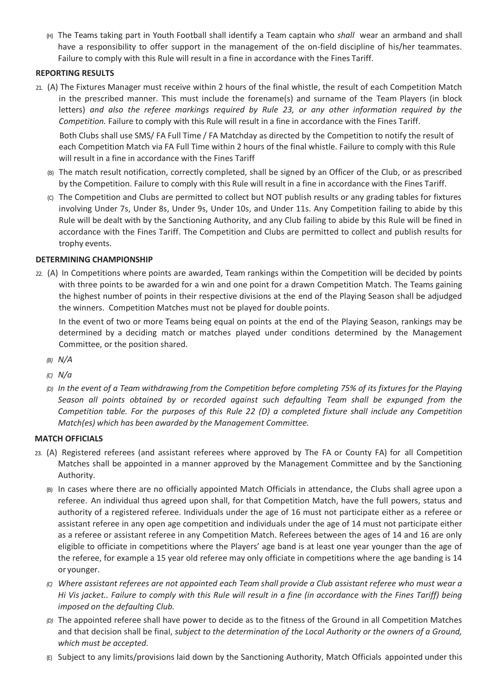(H) The Teams taking part in Youth Football shall identify a Team captain who *shall* wear an armband and shall have a responsibility to offer support in the management of the on-field discipline of his/her teammates. Failure to comply with this Rule will result in a fine in accordance with the Fines Tariff.

# **REPORTING RESULTS**

21. (A) The Fixtures Manager must receive within 2 hours of the final whistle, the result of each Competition Match in the prescribed manner. This must include the forename(s) and surname of the Team Players (in block letters) *and also the referee markings required by Rule 23, or any other information required by the Competition.* Failure to comply with this Rule will result in a fine in accordance with the Fines Tariff.

Both Clubs shall use SMS/ FA Full Time / FA Matchday as directed by the Competition to notify the result of each Competition Match via FA Full Time within 2 hours of the final whistle. Failure to comply with this Rule will result in a fine in accordance with the Fines Tariff

- (B) The match result notification, correctly completed, shall be signed by an Officer of the Club, or as prescribed by the Competition. Failure to comply with this Rule will result in a fine in accordance with the Fines Tariff.
- (C) The Competition and Clubs are permitted to collect but NOT publish results or any grading tables for fixtures involving Under 7s, Under 8s, Under 9s, Under 10s, and Under 11s. Any Competition failing to abide by this Rule will be dealt with by the Sanctioning Authority, and any Club failing to abide by this Rule will be fined in accordance with the Fines Tariff. The Competition and Clubs are permitted to collect and publish results for trophy events.

## **DETERMINING CHAMPIONSHIP**

22. (A) In Competitions where points are awarded, Team rankings within the Competition will be decided by points with three points to be awarded for a win and one point for a drawn Competition Match. The Teams gaining the highest number of points in their respective divisions at the end of the Playing Season shall be adjudged the winners. Competition Matches must not be played for double points.

In the event of two or more Teams being equal on points at the end of the Playing Season, rankings may be determined by a deciding match or matches played under conditions determined by the Management Committee, or the position shared.

- *(B) N/A*
- *(C) N/a*
- *(D) In the event of a Team withdrawing from the Competition before completing 75% of its fixtures for the Playing Season all points obtained by or recorded against such defaulting Team shall be expunged from the Competition table. For the purposes of this Rule 22 (D) a completed fixture shall include any Competition Match(es) which has been awarded by the Management Committee.*

#### **MATCH OFFICIALS**

- 23. (A) Registered referees (and assistant referees where approved by The FA or County FA) for all Competition Matches shall be appointed in a manner approved by the Management Committee and by the Sanctioning Authority.
	- (B) In cases where there are no officially appointed Match Officials in attendance, the Clubs shall agree upon a referee. An individual thus agreed upon shall, for that Competition Match, have the full powers, status and authority of a registered referee. Individuals under the age of 16 must not participate either as a referee or assistant referee in any open age competition and individuals under the age of 14 must not participate either as a referee or assistant referee in any Competition Match. Referees between the ages of 14 and 16 are only eligible to officiate in competitions where the Players' age band is at least one year younger than the age of the referee, for example a 15 year old referee may only officiate in competitions where the age banding is 14 or younger.
	- *(C) Where assistant referees are not appointed each Team shall provide a Club assistant referee who must wear a Hi Vis jacket.. Failure to comply with this Rule will result in a fine (in accordance with the Fines Tariff) being imposed on the defaulting Club.*
	- *(D)* The appointed referee shall have power to decide as to the fitness of the Ground in all Competition Matches and that decision shall be final, *subject to the determination of the Local Authority or the owners of a Ground, which must be accepted.*
	- (E) Subject to any limits/provisions laid down by the Sanctioning Authority, Match Officials appointed under this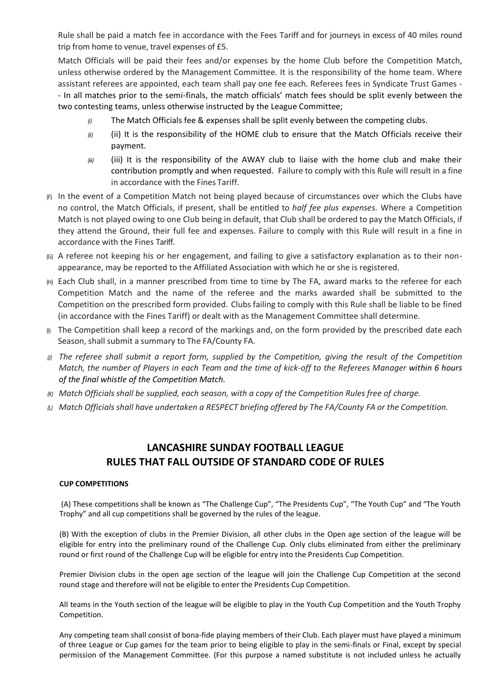Rule shall be paid a match fee in accordance with the Fees Tariff and for journeys in excess of 40 miles round trip from home to venue, travel expenses of £5.

Match Officials will be paid their fees and/or expenses by the home Club before the Competition Match, unless otherwise ordered by the Management Committee. It is the responsibility of the home team. Where assistant referees are appointed, each team shall pay one fee each. Referees fees in Syndicate Trust Games - - In all matches prior to the semi-finals, the match officials' match fees should be split evenly between the two contesting teams, unless otherwise instructed by the League Committee;

- *(i)* The Match Officials fee & expenses shall be split evenly between the competing clubs.
- *(ii)* (ii) It is the responsibility of the HOME club to ensure that the Match Officials receive their payment.
- *(iii)* (iii) It is the responsibility of the AWAY club to liaise with the home club and make their contribution promptly and when requested. Failure to comply with this Rule will result in a fine in accordance with the Fines Tariff.
- (F) In the event of a Competition Match not being played because of circumstances over which the Clubs have no control, the Match Officials, if present, shall be entitled to *half fee plus expenses.* Where a Competition Match is not played owing to one Club being in default, that Club shall be ordered to pay the Match Officials, if they attend the Ground, their full fee and expenses. Failure to comply with this Rule will result in a fine in accordance with the Fines Tariff.
- (G) A referee not keeping his or her engagement, and failing to give a satisfactory explanation as to their nonappearance, may be reported to the Affiliated Association with which he or she is registered.
- (H) Each Club shall, in a manner prescribed from time to time by The FA, award marks to the referee for each Competition Match and the name of the referee and the marks awarded shall be submitted to the Competition on the prescribed form provided. Clubs failing to comply with this Rule shall be liable to be fined (in accordance with the Fines Tariff) or dealt with as the Management Committee shall determine.
- $\eta$  The Competition shall keep a record of the markings and, on the form provided by the prescribed date each Season, shall submit a summary to The FA/County FA.
- (i) The referee shall submit a report form, supplied by the Competition, giving the result of the Competition *Match, the number of Players in each Team and the time of kick-off to the Referees Manager within 6 hours of the final whistle of the Competition Match.*
- *(K) Match Officials shall be supplied, each season, with a copy of the Competition Rules free of charge.*
- *(L) Match Officials shall have undertaken a RESPECT briefing offered by The FA/County FA or the Competition.*

# **LANCASHIRE SUNDAY FOOTBALL LEAGUE RULES THAT FALL OUTSIDE OF STANDARD CODE OF RULES**

#### **CUP COMPETITIONS**

(A) These competitions shall be known as "The Challenge Cup", "The Presidents Cup", "The Youth Cup" and "The Youth Trophy" and all cup competitions shall be governed by the rules of the league.

(B) With the exception of clubs in the Premier Division, all other clubs in the Open age section of the league will be eligible for entry into the preliminary round of the Challenge Cup. Only clubs eliminated from either the preliminary round or first round of the Challenge Cup will be eligible for entry into the Presidents Cup Competition.

Premier Division clubs in the open age section of the league will join the Challenge Cup Competition at the second round stage and therefore will not be eligible to enter the Presidents Cup Competition.

All teams in the Youth section of the league will be eligible to play in the Youth Cup Competition and the Youth Trophy Competition.

Any competing team shall consist of bona-fide playing members of their Club. Each player must have played a minimum of three League or Cup games for the team prior to being eligible to play in the semi-finals or Final, except by special permission of the Management Committee. (For this purpose a named substitute is not included unless he actually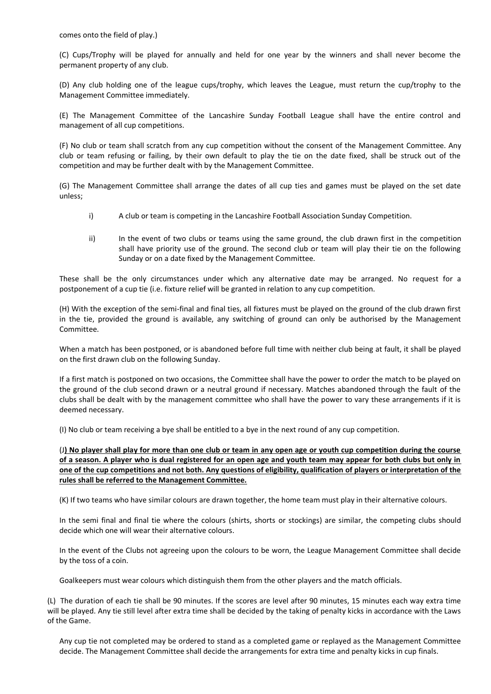comes onto the field of play.)

(C) Cups/Trophy will be played for annually and held for one year by the winners and shall never become the permanent property of any club.

(D) Any club holding one of the league cups/trophy, which leaves the League, must return the cup/trophy to the Management Committee immediately.

(E) The Management Committee of the Lancashire Sunday Football League shall have the entire control and management of all cup competitions.

(F) No club or team shall scratch from any cup competition without the consent of the Management Committee. Any club or team refusing or failing, by their own default to play the tie on the date fixed, shall be struck out of the competition and may be further dealt with by the Management Committee.

(G) The Management Committee shall arrange the dates of all cup ties and games must be played on the set date unless;

- i) A club or team is competing in the Lancashire Football Association Sunday Competition.
- ii) In the event of two clubs or teams using the same ground, the club drawn first in the competition shall have priority use of the ground. The second club or team will play their tie on the following Sunday or on a date fixed by the Management Committee.

These shall be the only circumstances under which any alternative date may be arranged. No request for a postponement of a cup tie (i.e. fixture relief will be granted in relation to any cup competition.

(H) With the exception of the semi-final and final ties, all fixtures must be played on the ground of the club drawn first in the tie, provided the ground is available, any switching of ground can only be authorised by the Management Committee.

When a match has been postponed, or is abandoned before full time with neither club being at fault, it shall be played on the first drawn club on the following Sunday.

If a first match is postponed on two occasions, the Committee shall have the power to order the match to be played on the ground of the club second drawn or a neutral ground if necessary. Matches abandoned through the fault of the clubs shall be dealt with by the management committee who shall have the power to vary these arrangements if it is deemed necessary.

(I) No club or team receiving a bye shall be entitled to a bye in the next round of any cup competition.

(J**) No player shall play for more than one club or team in any open age or youth cup competition during the course of a season. A player who is dual registered for an open age and youth team may appear for both clubs but only in one of the cup competitions and not both. Any questions of eligibility, qualification of players or interpretation of the rules shall be referred to the Management Committee.**

(K) If two teams who have similar colours are drawn together, the home team must play in their alternative colours.

In the semi final and final tie where the colours (shirts, shorts or stockings) are similar, the competing clubs should decide which one will wear their alternative colours.

In the event of the Clubs not agreeing upon the colours to be worn, the League Management Committee shall decide by the toss of a coin.

Goalkeepers must wear colours which distinguish them from the other players and the match officials.

(L) The duration of each tie shall be 90 minutes. If the scores are level after 90 minutes, 15 minutes each way extra time will be played. Any tie still level after extra time shall be decided by the taking of penalty kicks in accordance with the Laws of the Game.

Any cup tie not completed may be ordered to stand as a completed game or replayed as the Management Committee decide. The Management Committee shall decide the arrangements for extra time and penalty kicks in cup finals.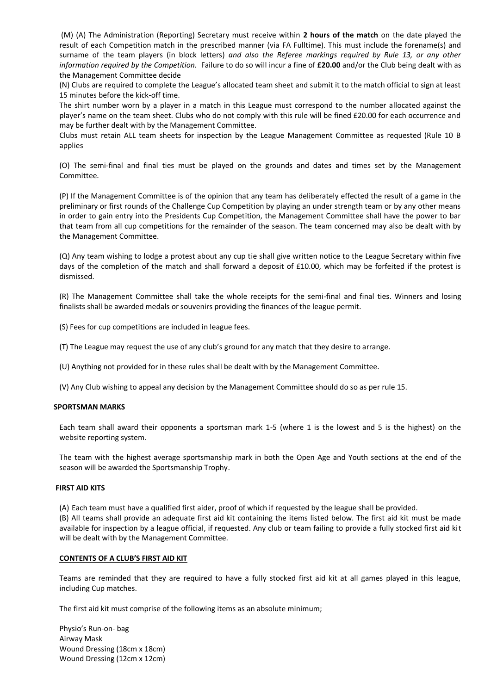(M) (A) The Administration (Reporting) Secretary must receive within **2 hours of the match** on the date played the result of each Competition match in the prescribed manner (via FA Fulltime). This must include the forename(s) and surname of the team players (in block letters) *and also the Referee markings required by Rule 13, or any other information required by the Competition.* Failure to do so will incur a fine of **£20.00** and/or the Club being dealt with as the Management Committee decide

(N) Clubs are required to complete the League's allocated team sheet and submit it to the match official to sign at least 15 minutes before the kick-off time.

The shirt number worn by a player in a match in this League must correspond to the number allocated against the player's name on the team sheet. Clubs who do not comply with this rule will be fined £20.00 for each occurrence and may be further dealt with by the Management Committee.

Clubs must retain ALL team sheets for inspection by the League Management Committee as requested (Rule 10 B applies

(O) The semi-final and final ties must be played on the grounds and dates and times set by the Management Committee.

(P) If the Management Committee is of the opinion that any team has deliberately effected the result of a game in the preliminary or first rounds of the Challenge Cup Competition by playing an under strength team or by any other means in order to gain entry into the Presidents Cup Competition, the Management Committee shall have the power to bar that team from all cup competitions for the remainder of the season. The team concerned may also be dealt with by the Management Committee.

(Q) Any team wishing to lodge a protest about any cup tie shall give written notice to the League Secretary within five days of the completion of the match and shall forward a deposit of £10.00, which may be forfeited if the protest is dismissed.

(R) The Management Committee shall take the whole receipts for the semi-final and final ties. Winners and losing finalists shall be awarded medals or souvenirs providing the finances of the league permit.

(S) Fees for cup competitions are included in league fees.

(T) The League may request the use of any club's ground for any match that they desire to arrange.

(U) Anything not provided for in these rules shall be dealt with by the Management Committee.

(V) Any Club wishing to appeal any decision by the Management Committee should do so as per rule 15.

#### **SPORTSMAN MARKS**

Each team shall award their opponents a sportsman mark 1-5 (where 1 is the lowest and 5 is the highest) on the website reporting system.

The team with the highest average sportsmanship mark in both the Open Age and Youth sections at the end of the season will be awarded the Sportsmanship Trophy.

#### **FIRST AID KITS**

(A) Each team must have a qualified first aider, proof of which if requested by the league shall be provided. (B) All teams shall provide an adequate first aid kit containing the items listed below. The first aid kit must be made available for inspection by a league official, if requested. Any club or team failing to provide a fully stocked first aid kit will be dealt with by the Management Committee.

#### **CONTENTS OF A CLUB'S FIRST AID KIT**

Teams are reminded that they are required to have a fully stocked first aid kit at all games played in this league, including Cup matches.

The first aid kit must comprise of the following items as an absolute minimum;

Physio's Run-on- bag Airway Mask Wound Dressing (18cm x 18cm) Wound Dressing (12cm x 12cm)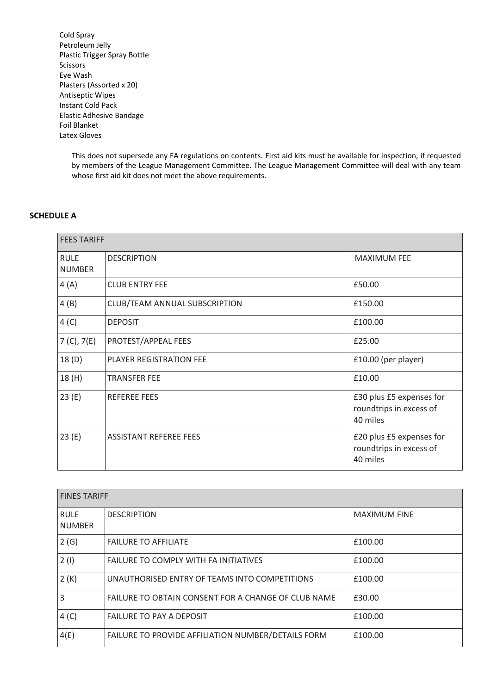Cold Spray Petroleum Jelly Plastic Trigger Spray Bottle Scissors Eye Wash Plasters (Assorted x 20) Antiseptic Wipes Instant Cold Pack Elastic Adhesive Bandage Foil Blanket Latex Gloves

> This does not supersede any FA regulations on contents. First aid kits must be available for inspection, if requested by members of the League Management Committee. The League Management Committee will deal with any team whose first aid kit does not meet the above requirements.

#### **SCHEDULE A**

| <b>FEES TARIFF</b>           |                               |                                                                 |
|------------------------------|-------------------------------|-----------------------------------------------------------------|
| <b>RULE</b><br><b>NUMBER</b> | <b>DESCRIPTION</b>            | <b>MAXIMUM FEE</b>                                              |
| 4(A)                         | <b>CLUB ENTRY FEE</b>         | £50.00                                                          |
| 4(B)                         | CLUB/TEAM ANNUAL SUBSCRIPTION | £150.00                                                         |
| 4(C)                         | <b>DEPOSIT</b>                | £100.00                                                         |
| 7 (C), 7(E)                  | PROTEST/APPEAL FEES           | £25.00                                                          |
| 18(D)                        | PLAYER REGISTRATION FEE       | £10.00 (per player)                                             |
| 18(H)                        | <b>TRANSFER FEE</b>           | £10.00                                                          |
| 23(E)                        | <b>REFEREE FEES</b>           | £30 plus £5 expenses for<br>roundtrips in excess of<br>40 miles |
| 23(E)                        | <b>ASSISTANT REFEREE FEES</b> | £20 plus £5 expenses for<br>roundtrips in excess of<br>40 miles |

|                              | <b>FINES TARIFF</b>                                 |                     |  |
|------------------------------|-----------------------------------------------------|---------------------|--|
| <b>RULE</b><br><b>NUMBER</b> | <b>DESCRIPTION</b>                                  | <b>MAXIMUM FINE</b> |  |
| 2(G)                         | <b>FAILURE TO AFFILIATE</b>                         | £100.00             |  |
| 2(1)                         | <b>FAILURE TO COMPLY WITH FA INITIATIVES</b>        | £100.00             |  |
| 2(K)                         | UNAUTHORISED ENTRY OF TEAMS INTO COMPETITIONS       | £100.00             |  |
| $\overline{3}$               | FAILURE TO OBTAIN CONSENT FOR A CHANGE OF CLUB NAME | £30.00              |  |
| 4(C)                         | <b>FAILURE TO PAY A DEPOSIT</b>                     | £100.00             |  |
| 4(E)                         | FAILURE TO PROVIDE AFFILIATION NUMBER/DETAILS FORM  | £100.00             |  |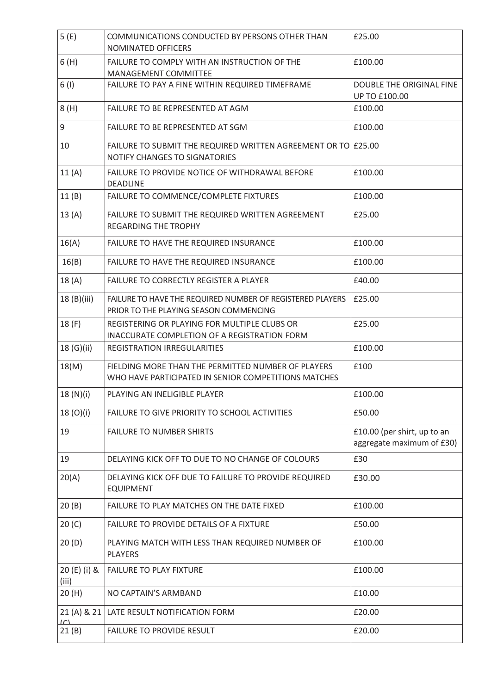| 5(E)                     | COMMUNICATIONS CONDUCTED BY PERSONS OTHER THAN<br>NOMINATED OFFICERS                                       | £25.00                                                   |
|--------------------------|------------------------------------------------------------------------------------------------------------|----------------------------------------------------------|
| 6(H)                     | FAILURE TO COMPLY WITH AN INSTRUCTION OF THE<br>MANAGEMENT COMMITTEE                                       | £100.00                                                  |
| 6(1)                     | FAILURE TO PAY A FINE WITHIN REQUIRED TIMEFRAME                                                            | DOUBLE THE ORIGINAL FINE<br>UP TO £100.00                |
| 8(H)                     | FAILURE TO BE REPRESENTED AT AGM                                                                           | £100.00                                                  |
| $\mathsf 9$              | FAILURE TO BE REPRESENTED AT SGM                                                                           | £100.00                                                  |
| 10                       | FAILURE TO SUBMIT THE REQUIRED WRITTEN AGREEMENT OR TO £25.00<br>NOTIFY CHANGES TO SIGNATORIES             |                                                          |
| 11(A)                    | FAILURE TO PROVIDE NOTICE OF WITHDRAWAL BEFORE<br><b>DEADLINE</b>                                          | £100.00                                                  |
| 11(B)                    | FAILURE TO COMMENCE/COMPLETE FIXTURES                                                                      | £100.00                                                  |
| 13(A)                    | FAILURE TO SUBMIT THE REQUIRED WRITTEN AGREEMENT<br><b>REGARDING THE TROPHY</b>                            | £25.00                                                   |
| 16(A)                    | FAILURE TO HAVE THE REQUIRED INSURANCE                                                                     | £100.00                                                  |
| 16(B)                    | FAILURE TO HAVE THE REQUIRED INSURANCE                                                                     | £100.00                                                  |
| 18(A)                    | FAILURE TO CORRECTLY REGISTER A PLAYER                                                                     | £40.00                                                   |
| 18(B)(iii)               | FAILURE TO HAVE THE REQUIRED NUMBER OF REGISTERED PLAYERS<br>PRIOR TO THE PLAYING SEASON COMMENCING        | £25.00                                                   |
| 18(F)                    | REGISTERING OR PLAYING FOR MULTIPLE CLUBS OR<br>INACCURATE COMPLETION OF A REGISTRATION FORM               | £25.00                                                   |
| 18 (G)(ii)               | REGISTRATION IRREGULARITIES                                                                                | £100.00                                                  |
| 18(M)                    | FIELDING MORE THAN THE PERMITTED NUMBER OF PLAYERS<br>WHO HAVE PARTICIPATED IN SENIOR COMPETITIONS MATCHES | £100                                                     |
| 18(N)(i)                 | PLAYING AN INELIGIBLE PLAYER                                                                               | £100.00                                                  |
| 18(0)(i)                 | FAILURE TO GIVE PRIORITY TO SCHOOL ACTIVITIES                                                              | £50.00                                                   |
| 19                       | <b>FAILURE TO NUMBER SHIRTS</b>                                                                            | £10.00 (per shirt, up to an<br>aggregate maximum of £30) |
| 19                       | DELAYING KICK OFF TO DUE TO NO CHANGE OF COLOURS                                                           | £30                                                      |
| 20(A)                    | DELAYING KICK OFF DUE TO FAILURE TO PROVIDE REQUIRED<br><b>EQUIPMENT</b>                                   | £30.00                                                   |
| 20(B)                    | FAILURE TO PLAY MATCHES ON THE DATE FIXED                                                                  | £100.00                                                  |
| 20 (C)                   | FAILURE TO PROVIDE DETAILS OF A FIXTURE                                                                    | £50.00                                                   |
| 20(D)                    | PLAYING MATCH WITH LESS THAN REQUIRED NUMBER OF<br><b>PLAYERS</b>                                          | £100.00                                                  |
| 20 (E) (i) &<br>(iii)    | <b>FAILURE TO PLAY FIXTURE</b>                                                                             | £100.00                                                  |
| 20(H)                    | NO CAPTAIN'S ARMBAND                                                                                       | £10.00                                                   |
| 21(A) 8 21<br>$\sqrt{2}$ | LATE RESULT NOTIFICATION FORM                                                                              | £20.00                                                   |
| 21(B)                    | <b>FAILURE TO PROVIDE RESULT</b>                                                                           | £20.00                                                   |